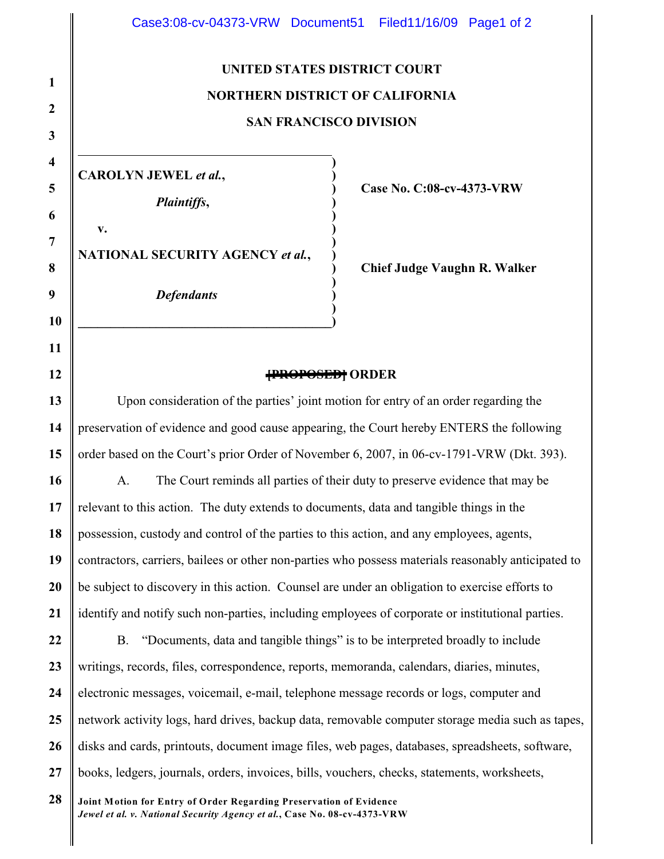## **UNITED STATES DISTRICT COURT NORTHERN DISTRICT OF CALIFORNIA SAN FRANCISCO DIVISION**

**) ) ) ) ) ) ) ) ) ) ) ) )**

**CAROLYN JEWEL** *et al.***,**

*Plaintiffs***,**

**NATIONAL SECURITY AGENCY** *et al.***,**

**\_\_\_\_\_\_\_\_\_\_\_\_\_\_\_\_\_\_\_\_\_\_\_\_\_\_\_\_\_\_\_\_\_\_\_\_\_\_\_**

*Defendants*

**Case No. C:08-cv-4373-VRW** 

**Chief Judge Vaughn R. Walker**

## **[PROPOSED] ORDER**

Upon consideration of the parties' joint motion for entry of an order regarding the preservation of evidence and good cause appearing, the Court hereby ENTERS the following order based on the Court's prior Order of November 6, 2007, in 06-cv-1791-VRW (Dkt. 393).

A. The Court reminds all parties of their duty to preserve evidence that may be relevant to this action. The duty extends to documents, data and tangible things in the possession, custody and control of the parties to this action, and any employees, agents, contractors, carriers, bailees or other non-parties who possess materials reasonably anticipated to be subject to discovery in this action. Counsel are under an obligation to exercise efforts to identify and notify such non-parties, including employees of corporate or institutional parties.

B. "Documents, data and tangible things" is to be interpreted broadly to include writings, records, files, correspondence, reports, memoranda, calendars, diaries, minutes, electronic messages, voicemail, e-mail, telephone message records or logs, computer and network activity logs, hard drives, backup data, removable computer storage media such as tapes, disks and cards, printouts, document image files, web pages, databases, spreadsheets, software, books, ledgers, journals, orders, invoices, bills, vouchers, checks, statements, worksheets,

**Joint Motion for Entry of Order Regarding Preservation of Evidence** *Jewel et al. v. National Security Agency et al.***, Case No. 08-cv-4373-VRW**

**v.**